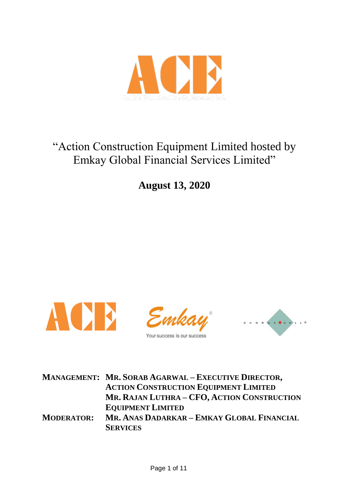

# "Action Construction Equipment Limited hosted by Emkay Global Financial Services Limited"

**August 13, 2020**



|                   | <b>MANAGEMENT: MR. SORAB AGARWAL - EXECUTIVE DIRECTOR,</b><br><b>ACTION CONSTRUCTION EQUIPMENT LIMITED</b> |
|-------------------|------------------------------------------------------------------------------------------------------------|
|                   | MR. RAJAN LUTHRA - CFO, ACTION CONSTRUCTION                                                                |
|                   | <b>EQUIPMENT LIMITED</b>                                                                                   |
| <b>MODERATOR:</b> | MR. ANAS DADARKAR - EMKAY GLOBAL FINANCIAL                                                                 |
|                   | <b>SERVICES</b>                                                                                            |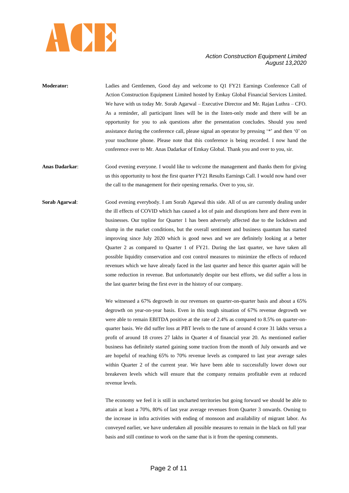

- **Moderator:** Ladies and Gentlemen, Good day and welcome to Q1 FY21 Earnings Conference Call of Action Construction Equipment Limited hosted by Emkay Global Financial Services Limited. We have with us today Mr. Sorab Agarwal – Executive Director and Mr. Rajan Luthra – CFO. As a reminder, all participant lines will be in the listen-only mode and there will be an opportunity for you to ask questions after the presentation concludes. Should you need assistance during the conference call, please signal an operator by pressing "\*" and then '0' on your touchtone phone. Please note that this conference is being recorded. I now hand the conference over to Mr. Anas Dadarkar of Emkay Global. Thank you and over to you, sir.
- **Anas Dadarkar**: Good evening everyone. I would like to welcome the management and thanks them for giving us this opportunity to host the first quarter FY21 Results Earnings Call. I would now hand over the call to the management for their opening remarks. Over to you, sir.
- **Sorab Agarwal:** Good evening everybody. I am Sorab Agarwal this side. All of us are currently dealing under the ill effects of COVID which has caused a lot of pain and disruptions here and there even in businesses. Our topline for Quarter 1 has been adversely affected due to the lockdown and slump in the market conditions, but the overall sentiment and business quantum has started improving since July 2020 which is good news and we are definitely looking at a better Quarter 2 as compared to Quarter 1 of FY21. During the last quarter, we have taken all possible liquidity conservation and cost control measures to minimize the effects of reduced revenues which we have already faced in the last quarter and hence this quarter again will be some reduction in revenue. But unfortunately despite our best efforts, we did suffer a loss in the last quarter being the first ever in the history of our company.

We witnessed a 67% degrowth in our revenues on quarter-on-quarter basis and about a 65% degrowth on year-on-year basis. Even in this tough situation of 67% revenue degrowth we were able to remain EBITDA positive at the rate of 2.4% as compared to 8.5% on quarter-onquarter basis. We did suffer loss at PBT levels to the tune of around 4 crore 31 lakhs versus a profit of around 18 crores 27 lakhs in Quarter 4 of financial year 20. As mentioned earlier business has definitely started gaining some traction from the month of July onwards and we are hopeful of reaching 65% to 70% revenue levels as compared to last year average sales within Quarter 2 of the current year. We have been able to successfully lower down our breakeven levels which will ensure that the company remains profitable even at reduced revenue levels.

The economy we feel it is still in uncharted territories but going forward we should be able to attain at least a 70%, 80% of last year average revenues from Quarter 3 onwards. Owning to the increase in infra activities with ending of monsoon and availability of migrant labor. As conveyed earlier, we have undertaken all possible measures to remain in the black on full year basis and still continue to work on the same that is it from the opening comments.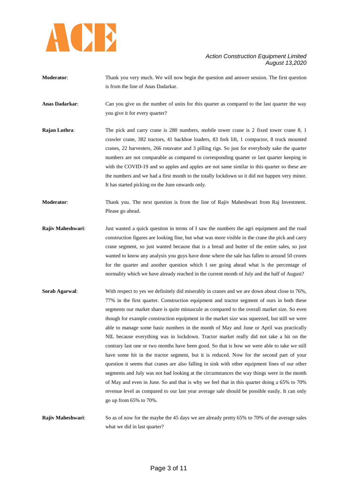

- **Moderator:** Thank you very much. We will now begin the question and answer session. The first question is from the line of Anas Dadarkar.
- **Anas Dadarkar**: Can you give us the number of units for this quarter as compared to the last quarter the way you give it for every quarter?
- **Rajan Luthra:** The pick and carry crane is 280 numbers, mobile tower crane is 2 fixed tower crane 8, 1 crawler crane, 382 tractors, 41 backhoe loaders, 83 fork lift, 1 compactor, 8 truck mounted cranes, 22 harvesters, 266 rotavator and 3 pilling rigs. So just for everybody sake the quarter numbers are not comparable as compared to corresponding quarter or last quarter keeping in with the COVID-19 and so apples and apples are not same similar in this quarter so these are the numbers and we had a first month to the totally lockdown so it did not happen very minor. It has started picking on the June onwards only.
- **Moderator**: Thank you. The next question is from the line of Rajiv Maheshwari from Raj Investment. Please go ahead.
- **Rajiv Maheshwari:** Just wanted a quick question in terms of I saw the numbers the agri equipment and the road construction figures are looking fine, but what was more visible in the crane the pick and carry crane segment, so just wanted because that is a bread and butter of the entire sales, so just wanted to know any analysis you guys have done where the sale has fallen to around 50 crores for the quarter and another question which I see going ahead what is the percentage of normality which we have already reached in the current month of July and the half of August?
- **Sorab Agarwal:** With respect to yes we definitely did miserably in cranes and we are down about close to 76%, 77% in the first quarter. Construction equipment and tractor segment of ours in both these segments our market share is quite minuscule as compared to the overall market size. So even though for example construction equipment in the market size was squeezed, but still we were able to manage some basic numbers in the month of May and June or April was practically NIL because everything was in lockdown. Tractor market really did not take a hit on the contrary last one or two months have been good. So that is how we were able to take we still have some hit in the tractor segment, but it is reduced. Now for the second part of your question it seems that cranes are also falling in sink with other equipment lines of our other segments and July was not bad looking at the circumstances the way things were in the month of May and even in June. So and that is why we feel that in this quarter doing a 65% to 70% revenue level as compared to our last year average sale should be possible easily. It can only go up from 65% to 70%.
- **Rajiv Maheshwari**: So as of now for the maybe the 45 days we are already pretty 65% to 70% of the average sales what we did in last quarter?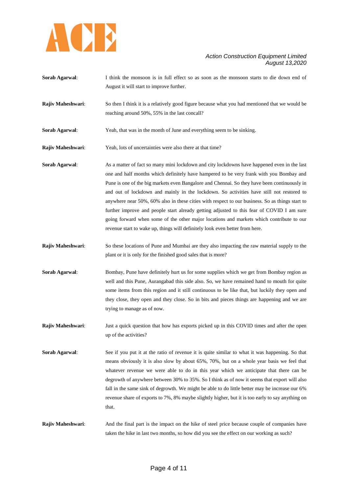

| Sorab Agarwal:    | I think the monsoon is in full effect so as soon as the monsoon starts to die down end of<br>August it will start to improve further.                                                                                                                                                                                                                                                                                                                                                                                                                                                                                                                                                                                                                          |
|-------------------|----------------------------------------------------------------------------------------------------------------------------------------------------------------------------------------------------------------------------------------------------------------------------------------------------------------------------------------------------------------------------------------------------------------------------------------------------------------------------------------------------------------------------------------------------------------------------------------------------------------------------------------------------------------------------------------------------------------------------------------------------------------|
| Rajiv Maheshwari: | So then I think it is a relatively good figure because what you had mentioned that we would be<br>reaching around 50%, 55% in the last concall?                                                                                                                                                                                                                                                                                                                                                                                                                                                                                                                                                                                                                |
| Sorab Agarwal:    | Yeah, that was in the month of June and everything seem to be sinking.                                                                                                                                                                                                                                                                                                                                                                                                                                                                                                                                                                                                                                                                                         |
| Rajiv Maheshwari: | Yeah, lots of uncertainties were also there at that time?                                                                                                                                                                                                                                                                                                                                                                                                                                                                                                                                                                                                                                                                                                      |
| Sorab Agarwal:    | As a matter of fact so many mini lockdown and city lockdowns have happened even in the last<br>one and half months which definitely have hampered to be very frank with you Bombay and<br>Pune is one of the big markets even Bangalore and Chennai. So they have been continuously in<br>and out of lockdown and mainly in the lockdown. So activities have still not restored to<br>anywhere near 50%, 60% also in these cities with respect to our business. So as things start to<br>further improve and people start already getting adjusted to this fear of COVID I am sure<br>going forward when some of the other major locations and markets which contribute to our<br>revenue start to wake up, things will definitely look even better from here. |
| Rajiv Maheshwari: | So these locations of Pune and Mumbai are they also impacting the raw material supply to the<br>plant or it is only for the finished good sales that is more?                                                                                                                                                                                                                                                                                                                                                                                                                                                                                                                                                                                                  |
| Sorab Agarwal:    | Bombay, Pune have definitely hurt us for some supplies which we get from Bombay region as<br>well and this Pune, Aurangabad this side also. So, we have remained hand to mouth for quite<br>some items from this region and it still continuous to be like that, but luckily they open and<br>they close, they open and they close. So in bits and pieces things are happening and we are<br>trying to manage as of now.                                                                                                                                                                                                                                                                                                                                       |
| Rajiv Maheshwari: | Just a quick question that how has exports picked up in this COVID times and after the open<br>up of the activities?                                                                                                                                                                                                                                                                                                                                                                                                                                                                                                                                                                                                                                           |
| Sorab Agarwal:    | See if you put it at the ratio of revenue it is quite similar to what it was happening. So that<br>means obviously it is also slow by about 65%, 70%, but on a whole year basis we feel that<br>whatever revenue we were able to do in this year which we anticipate that there can be<br>degrowth of anywhere between 30% to 35%. So I think as of now it seems that export will also<br>fall in the same sink of degrowth. We might be able to do little better may be increase our 6%<br>revenue share of exports to 7%, 8% maybe slightly higher, but it is too early to say anything on<br>that.                                                                                                                                                          |
| Rajiv Maheshwari: | And the final part is the impact on the hike of steel price because couple of companies have<br>taken the hike in last two months, so how did you see the effect on our working as such?                                                                                                                                                                                                                                                                                                                                                                                                                                                                                                                                                                       |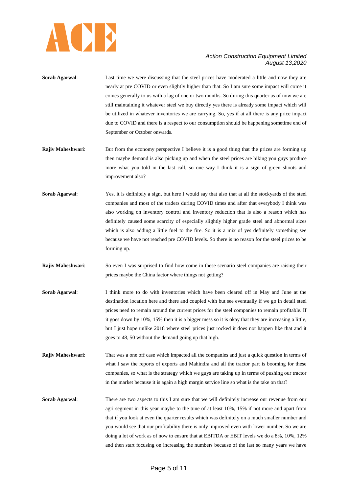

- **Sorab Agarwal:** Last time we were discussing that the steel prices have moderated a little and now they are nearly at pre COVID or even slightly higher than that. So I am sure some impact will come it comes generally to us with a lag of one or two months. So during this quarter as of now we are still maintaining it whatever steel we buy directly yes there is already some impact which will be utilized in whatever inventories we are carrying. So, yes if at all there is any price impact due to COVID and there is a respect to our consumption should be happening sometime end of September or October onwards.
- **Rajiv Maheshwari:** But from the economy perspective I believe it is a good thing that the prices are forming up then maybe demand is also picking up and when the steel prices are hiking you guys produce more what you told in the last call, so one way I think it is a sign of green shoots and improvement also?
- **Sorab Agarwal:** Yes, it is definitely a sign, but here I would say that also that at all the stockyards of the steel companies and most of the traders during COVID times and after that everybody I think was also working on inventory control and inventory reduction that is also a reason which has definitely caused some scarcity of especially slightly higher grade steel and abnormal sizes which is also adding a little fuel to the fire. So it is a mix of yes definitely something see because we have not reached pre COVID levels. So there is no reason for the steel prices to be forming up.
- **Rajiv Maheshwari:** So even I was surprised to find how come in these scenario steel companies are raising their prices maybe the China factor where things not getting?
- **Sorab Agarwal**: I think more to do with inventories which have been cleared off in May and June at the destination location here and there and coupled with but see eventually if we go in detail steel prices need to remain around the current prices for the steel companies to remain profitable. If it goes down by 10%, 15% then it is a bigger mess so it is okay that they are increasing a little, but I just hope unlike 2018 where steel prices just rocked it does not happen like that and it goes to 48, 50 without the demand going up that high.
- **Rajiv Maheshwari**: That was a one off case which impacted all the companies and just a quick question in terms of what I saw the reports of exports and Mahindra and all the tractor part is booming for these companies, so what is the strategy which we guys are taking up in terms of pushing our tractor in the market because it is again a high margin service line so what is the take on that?
- **Sorab Agarwal:** There are two aspects to this I am sure that we will definitely increase our revenue from our agri segment in this year maybe to the tune of at least 10%, 15% if not more and apart from that if you look at even the quarter results which was definitely on a much smaller number and you would see that our profitability there is only improved even with lower number. So we are doing a lot of work as of now to ensure that at EBITDA or EBIT levels we do a 8%, 10%, 12% and then start focusing on increasing the numbers because of the last so many years we have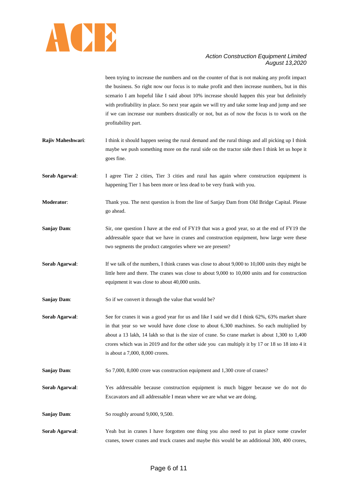

been trying to increase the numbers and on the counter of that is not making any profit impact the business. So right now our focus is to make profit and then increase numbers, but in this scenario I am hopeful like I said about 10% increase should happen this year but definitely with profitability in place. So next year again we will try and take some leap and jump and see if we can increase our numbers drastically or not, but as of now the focus is to work on the profitability part.

- **Rajiv Maheshwari:** I think it should happen seeing the rural demand and the rural things and all picking up I think maybe we push something more on the rural side on the tractor side then I think let us hope it goes fine.
- **Sorab Agarwal:** I agree Tier 2 cities, Tier 3 cities and rural has again where construction equipment is happening Tier 1 has been more or less dead to be very frank with you.
- **Moderator**: Thank you. The next question is from the line of Sanjay Dam from Old Bridge Capital. Please go ahead.
- **Sanjay Dam:** Sir, one question I have at the end of FY19 that was a good year, so at the end of FY19 the addressable space that we have in cranes and construction equipment, how large were these two segments the product categories where we are present?
- **Sorab Agarwal:** If we talk of the numbers, I think cranes was close to about 9,000 to 10,000 units they might be little here and there. The cranes was close to about 9,000 to 10,000 units and for construction equipment it was close to about 40,000 units.
- **Sanjay Dam:** So if we convert it through the value that would be?
- **Sorab Agarwal:** See for cranes it was a good year for us and like I said we did I think 62%, 63% market share in that year so we would have done close to about 6,300 machines. So each multiplied by about a 13 lakh, 14 lakh so that is the size of crane. So crane market is about 1,300 to 1,400 crores which was in 2019 and for the other side you can multiply it by 17 or 18 so 18 into 4 it is about a 7,000, 8,000 crores.
- **Sanjay Dam:** So 7,000, 8,000 crore was construction equipment and 1,300 crore of cranes?
- **Sorab Agarwal**: Yes addressable because construction equipment is much bigger because we do not do Excavators and all addressable I mean where we are what we are doing.
- **Sanjay Dam:** So roughly around 9,000, 9,500.
- **Sorab Agarwal**: Yeah but in cranes I have forgotten one thing you also need to put in place some crawler cranes, tower cranes and truck cranes and maybe this would be an additional 300, 400 crores,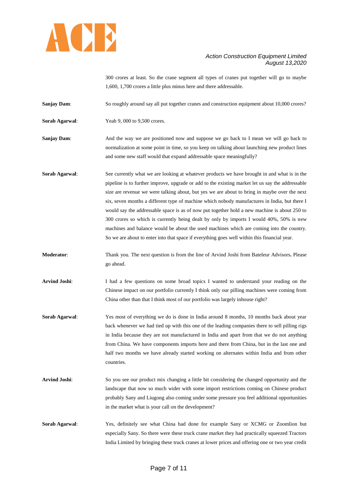

300 crores at least. So the crane segment all types of cranes put together will go to maybe 1,600, 1,700 crores a little plus minus here and there addressable.

**Sanjay Dam:** So roughly around say all put together cranes and construction equipment about 10,000 crores?

**Sorab Agarwal:** Yeah 9, 000 to 9,500 crores.

**Sanjay Dam:** And the way we are positioned now and suppose we go back to I mean we will go back to normalization at some point in time, so you keep on talking about launching new product lines and some new staff would that expand addressable space meaningfully?

**Sorab Agarwal:** See currently what we are looking at whatever products we have brought in and what is in the pipeline is to further improve, upgrade or add to the existing market let us say the addressable size are revenue we were talking about, but yes we are about to bring in maybe over the next six, seven months a different type of machine which nobody manufactures in India, but there I would say the addressable space is as of now put together hold a new machine is about 250 to 300 crores so which is currently being dealt by only by imports I would 40%, 50% is new machines and balance would be about the used machines which are coming into the country. So we are about to enter into that space if everything goes well within this financial year.

**Moderator**: Thank you. The next question is from the line of Arvind Joshi from Bateleur Advisors**.** Please go ahead.

**Arvind Joshi**: I had a few questions on some broad topics I wanted to understand your reading on the Chinese impact on our portfolio currently I think only our pilling machines were coming from China other than that I think most of our portfolio was largely inhouse right?

**Sorab Agarwal**: Yes most of everything we do is done in India around 8 months, 10 months back about year back whenever we had tied up with this one of the leading companies there to sell pilling rigs in India because they are not manufactured in India and apart from that we do not anything from China. We have components imports here and there from China, but in the last one and half two months we have already started working on alternates within India and from other countries.

- **Arvind Joshi**: So you see our product mix changing a little bit considering the changed opportunity and the landscape that now so much wider with some import restrictions coming on Chinese product probably Sany and Liugong also coming under some pressure you feel additional opportunities in the market what is your call on the development?
- **Sorab Agarwal**: Yes, definitely see what China had done for example Sany or XCMG or Zoomlion but especially Sany. So there were these truck crane market they had practically squeezed Tractors India Limited by bringing these truck cranes at lower prices and offering one or two year credit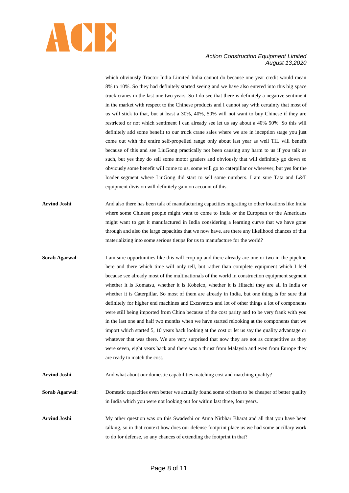

which obviously Tractor India Limited India cannot do because one year credit would mean 8% to 10%. So they had definitely started seeing and we have also entered into this big space truck cranes in the last one two years. So I do see that there is definitely a negative sentiment in the market with respect to the Chinese products and I cannot say with certainty that most of us will stick to that, but at least a 30%, 40%, 50% will not want to buy Chinese if they are restricted or not which sentiment I can already see let us say about a 40% 50%. So this will definitely add some benefit to our truck crane sales where we are in inception stage you just come out with the entire self-propelled range only about last year as well TIL will benefit because of this and see LiuGong practically not been causing any harm to us if you talk as such, but yes they do sell some motor graders and obviously that will definitely go down so obviously some benefit will come to us, some will go to caterpillar or wherever, but yes for the loader segment where LiuGong did start to sell some numbers. I am sure Tata and L&T equipment division will definitely gain on account of this.

- **Arvind Joshi**: And also there has been talk of manufacturing capacities migrating to other locations like India where some Chinese people might want to come to India or the European or the Americans might want to get it manufactured in India considering a learning curve that we have gone through and also the large capacities that we now have, are there any likelihood chances of that materializing into some serious tieups for us to manufacture for the world?
- **Sorab Agarwal:** I am sure opportunities like this will crop up and there already are one or two in the pipeline here and there which time will only tell, but rather than complete equipment which I feel because see already most of the multinationals of the world in construction equipment segment whether it is Komatsu, whether it is Kobelco, whether it is Hitachi they are all in India or whether it is Caterpillar. So most of them are already in India, but one thing is for sure that definitely for higher end machines and Excavators and lot of other things a lot of components were still being imported from China because of the cost parity and to be very frank with you in the last one and half two months when we have started relooking at the components that we import which started 5, 10 years back looking at the cost or let us say the quality advantage or whatever that was there. We are very surprised that now they are not as competitive as they were seven, eight years back and there was a thrust from Malaysia and even from Europe they are ready to match the cost.
- **Arvind Joshi:** And what about our domestic capabilities matching cost and matching quality?

**Sorab Agarwal:** Domestic capacities even better we actually found some of them to be cheaper of better quality in India which you were not looking out for within last three, four years.

**Arvind Joshi**: My other question was on this Swadeshi or Atma Nirbhar Bharat and all that you have been talking, so in that context how does our defense footprint place us we had some ancillary work to do for defense, so any chances of extending the footprint in that?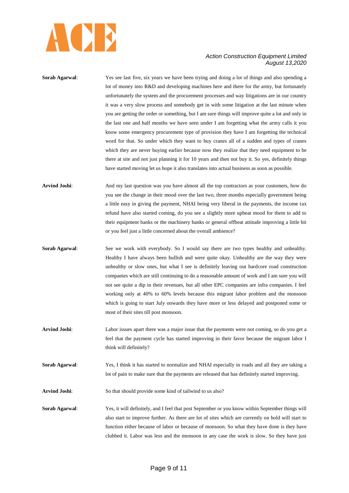

**Sorab Agarwal:** Yes see last five, six years we have been trying and doing a lot of things and also spending a lot of money into R&D and developing machines here and there for the army, but fortunately unfortunately the system and the procurement processes and way litigations are in our country it was a very slow process and somebody get in with some litigation at the last minute when you are getting the order or something, but I am sure things will improve quite a lot and only in the last one and half months we have seen under I am forgetting what the army calls it you know some emergency procurement type of provision they have I am forgetting the technical word for that. So under which they want to buy cranes all of a sudden and types of cranes which they are never buying earlier because now they realize that they need equipment to be there at site and not just planning it for 10 years and then not buy it. So yes, definitely things have started moving let us hope it also translates into actual business as soon as possible.

- **Arvind Joshi**: And my last question was you have almost all the top contractors as your customers, how do you see the change in their mood over the last two, three months especially government being a little easy in giving the payment, NHAI being very liberal in the payments, the income tax refund have also started coming, do you see a slightly more upbeat mood for them to add to their equipment banks or the machinery banks or general offbeat attitude improving a little bit or you feel just a little concerned about the overall ambience?
- **Sorab Agarwal:** See we work with everybody. So I would say there are two types healthy and unhealthy. Healthy I have always been bullish and were quite okay. Unhealthy are the way they were unhealthy or slow ones, but what I see is definitely leaving out hardcore road construction companies which are still continuing to do a reasonable amount of work and I am sure you will not see quite a dip in their revenues, but all other EPC companies are infra companies. I feel working only at 40% to 60% levels because this migrant labor problem and the monsoon which is going to start July onwards they have more or less delayed and postponed some or most of their sites till post monsoon.
- **Arvind Joshi**: Labor issues apart there was a major issue that the payments were not coming, so do you get a feel that the payment cycle has started improving in their favor because the migrant labor I think will definitely?
- **Sorab Agarwal:** Yes, I think it has started to normalize and NHAI especially in roads and all they are taking a lot of pain to make sure that the payments are released that has definitely started improving.
- **Arvind Joshi**: So that should provide some kind of tailwind to us also?
- **Sorab Agarwal**: Yes, it will definitely, and I feel that post September or you know within September things will also start to improve further. As there are lot of sites which are currently on hold will start to function either because of labor or because of monsoon. So what they have done is they have clubbed it. Labor was less and the monsoon in any case the work is slow. So they have just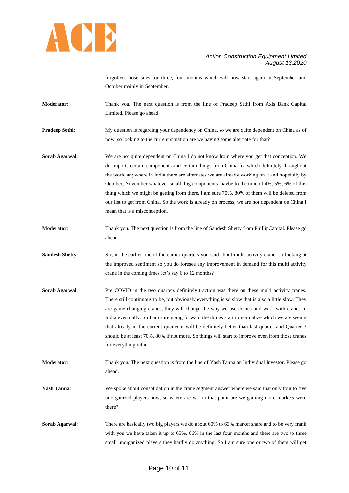

forgotten those sites for three, four months which will now start again in September and October mainly in September.

**Moderator**: Thank you. The next question is from the line of Pradeep Sethi from Axis Bank Capital Limited. Please go ahead.

**Pradeep Sethi:** My question is regarding your dependency on China, so we are quite dependent on China as of now, so looking to the current situation are we having some alternate for that?

**Sorab Agarwal**: We are not quite dependent on China I do not know from where you get that conception. We do imports certain components and certain things from China for which definitely throughout the world anywhere in India there are alternates we are already working on it and hopefully by October, November whatever small, big components maybe to the tune of 4%, 5%, 6% of this thing which we might be getting from there. I am sure 70%, 80% of them will be deleted from our list to get from China. So the work is already on process, we are not dependent on China I mean that is a misconception.

- **Moderator**: Thank you. The next question is from the line of Sandesh Shetty from PhillipCapital. Please go ahead.
- **Sandesh Shetty:** Sir, in the earlier one of the earlier quarters you said about multi activity crane, so looking at the improved sentiment so you do foresee any improvement in demand for this multi activity crane in the coming times let"s say 6 to 12 months?
- **Sorab Agarwal:** Pre COVID in the two quarters definitely traction was there on these multi activity cranes. There still continuous to be, but obviously everything is so slow that is also a little slow. They are game changing cranes, they will change the way we use cranes and work with cranes in India eventually. So I am sure going forward the things start to normalize which we are seeing that already in the current quarter it will be definitely better than last quarter and Quarter 3 should be at least 70%, 80% if not more. So things will start to improve even from those cranes for everything rather.

**Moderator**: Thank you. The next question is from the line of Yash Tanna an Individual Investor. Please go ahead.

**Yash Tanna:** We spoke about consolidation in the crane segment answer where we said that only four to five unorganized players now, so where are we on that point are we gaining more markets were there?

**Sorab Agarwal:** There are basically two big players we do about 60% to 63% market share and to be very frank with you we have taken it up to 65%, 66% in the last four months and there are two to three small unorganized players they hardly do anything. So I am sure one or two of them will get